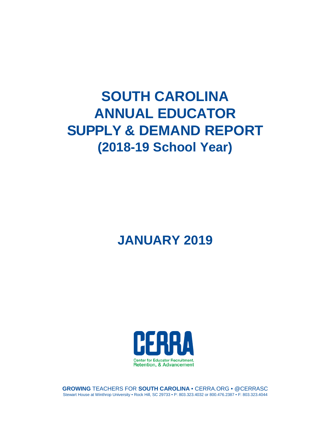# **SOUTH CAROLINA ANNUAL EDUCATOR SUPPLY & DEMAND REPORT (2018-19 School Year)**

## **JANUARY 2019**



**GROWING** TEACHERS FOR **SOUTH CAROLINA** • CERRA.ORG • @CERRASC Stewart House at Winthrop University • Rock Hill, SC 29733 • P: 803.323.4032 or 800.476.2387 • F: 803.323.4044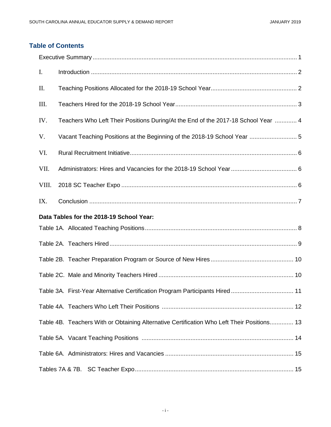### **Table of Contents**

| Ι.    |                                                                                            |
|-------|--------------------------------------------------------------------------------------------|
| П.    |                                                                                            |
| Ш.    |                                                                                            |
| IV.   | Teachers Who Left Their Positions During/At the End of the 2017-18 School Year  4          |
| V.    |                                                                                            |
| VI.   |                                                                                            |
| VII.  |                                                                                            |
| VIII. |                                                                                            |
| IX.   |                                                                                            |
|       | Data Tables for the 2018-19 School Year:                                                   |
|       |                                                                                            |
|       |                                                                                            |
|       |                                                                                            |
|       |                                                                                            |
|       |                                                                                            |
|       |                                                                                            |
|       | Table 4B. Teachers With or Obtaining Alternative Certification Who Left Their Positions 13 |
|       |                                                                                            |
|       |                                                                                            |
|       |                                                                                            |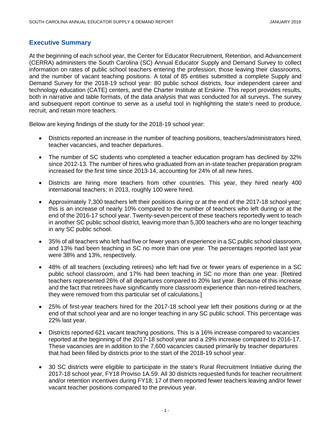#### **Executive Summary**

At the beginning of each school year, the Center for Educator Recruitment, Retention, and Advancement (CERRA) administers the South Carolina (SC) Annual Educator Supply and Demand Survey to collect information on rates of public school teachers entering the profession, those leaving their classrooms, and the number of vacant teaching positions. A total of 85 entities submitted a complete Supply and Demand Survey for the 2018-19 school year: 80 public school districts, four independent career and technology education (CATE) centers, and the Charter Institute at Erskine. This report provides results, both in narrative and table formats, of the data analysis that was conducted for all surveys. The survey and subsequent report continue to serve as a useful tool in highlighting the state's need to produce, recruit, and retain more teachers.

Below are keying findings of the study for the 2018-19 school year:

- Districts reported an increase in the number of teaching positions, teachers/administrators hired, teacher vacancies, and teacher departures.
- The number of SC students who completed a teacher education program has declined by 32% since 2012-13. The number of hires who graduated from an in-state teacher preparation program increased for the first time since 2013-14, accounting for 24% of all new hires.
- Districts are hiring more teachers from other countries. This year, they hired nearly 400 international teachers; in 2013, roughly 100 were hired.
- Approximately 7,300 teachers left their positions during or at the end of the 2017-18 school year; this is an increase of nearly 10% compared to the number of teachers who left during or at the end of the 2016-17 school year. Twenty-seven percent of these teachers reportedly went to teach in another SC public school district, leaving more than 5,300 teachers who are no longer teaching in any SC public school.
- 35% of all teachers who left had five or fewer years of experience in a SC public school classroom, and 13% had been teaching in SC no more than one year. The percentages reported last year were 38% and 13%, respectively.
- 48% of all teachers (excluding retirees) who left had five or fewer years of experience in a SC public school classroom, and 17% had been teaching in SC no more than one year. [Retired teachers represented 26% of all departures compared to 20% last year. Because of this increase and the fact that retirees have significantly more classroom experience than non-retired teachers, they were removed from this particular set of calculations.]
- 25% of first-year teachers hired for the 2017-18 school year left their positions during or at the end of that school year and are no longer teaching in any SC public school. This percentage was 22% last year.
- Districts reported 621 vacant teaching positions. This is a 16% increase compared to vacancies reported at the beginning of the 2017-18 school year and a 29% increase compared to 2016-17. These vacancies are in addition to the 7,600 vacancies caused primarily by teacher departures that had been filled by districts prior to the start of the 2018-19 school year.
- 30 SC districts were eligible to participate in the state's Rural Recruitment Initiative during the 2017-18 school year, FY18 Proviso 1A.59. All 30 districts requested funds for teacher recruitment and/or retention incentives during FY18; 17 of them reported fewer teachers leaving and/or fewer vacant teacher positions compared to the previous year.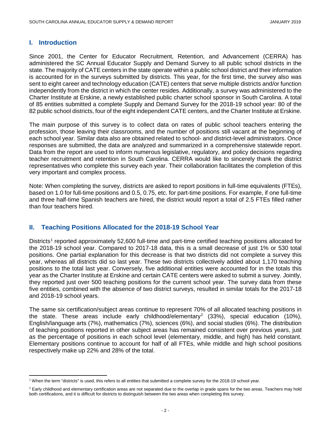#### **I. Introduction**

Since 2001, the Center for Educator Recruitment, Retention, and Advancement (CERRA) has administered the SC Annual Educator Supply and Demand Survey to all public school districts in the state. The majority of CATE centers in the state operate within a public school district and their information is accounted for in the surveys submitted by districts. This year, for the first time, the survey also was sent to eight career and technology education (CATE) centers that serve multiple districts and/or function independently from the district in which the center resides. Additionally, a survey was administered to the Charter Institute at Erskine, a newly established public charter school sponsor in South Carolina. A total of 85 entities submitted a complete Supply and Demand Survey for the 2018-19 school year: 80 of the 82 public school districts, four of the eight independent CATE centers, and the Charter Institute at Erskine.

The main purpose of this survey is to collect data on rates of public school teachers entering the profession, those leaving their classrooms, and the number of positions still vacant at the beginning of each school year. Similar data also are obtained related to school- and district-level administrators. Once responses are submitted, the data are analyzed and summarized in a comprehensive statewide report. Data from the report are used to inform numerous legislative, regulatory, and policy decisions regarding teacher recruitment and retention in South Carolina. CERRA would like to sincerely thank the district representatives who complete this survey each year. Their collaboration facilitates the completion of this very important and complex process.

Note: When completing the survey, districts are asked to report positions in full-time equivalents (FTEs), based on 1.0 for full-time positions and 0.5, 0.75, etc. for part-time positions. For example, if one full-time and three half-time Spanish teachers are hired, the district would report a total of 2.5 FTEs filled rather than four teachers hired.

#### **II. Teaching Positions Allocated for the 2018-19 School Year**

Districts<sup>[1](#page-3-0)</sup> reported approximately 52,600 full-time and part-time certified teaching positions allocated for the 2018-19 school year. Compared to 2017-18 data, this is a small decrease of just 1% or 530 total positions. One partial explanation for this decrease is that two districts did not complete a survey this year, whereas all districts did so last year. These two districts collectively added about 1,170 teaching positions to the total last year. Conversely, five additional entities were accounted for in the totals this year as the Charter Institute at Erskine and certain CATE centers were asked to submit a survey. Jointly, they reported just over 500 teaching positions for the current school year. The survey data from these five entities, combined with the absence of two district surveys, resulted in similar totals for the 2017-18 and 2018-19 school years.

The same six certification/subject areas continue to represent 70% of all allocated teaching positions in the state. These areas include early childhood/elementary<sup>[2](#page-3-1)</sup> (33%), special education (10%), English/language arts (7%), mathematics (7%), sciences (6%), and social studies (6%). The distribution of teaching positions reported in other subject areas has remained consistent over previous years, just as the percentage of positions in each school level (elementary, middle, and high) has held constant. Elementary positions continue to account for half of all FTEs, while middle and high school positions respectively make up 22% and 28% of the total.

<span id="page-3-0"></span> $\overline{\phantom{a}}$ <sup>1</sup> When the term "districts" is used, this refers to all entities that submitted a complete survey for the 2018-19 school year.

<span id="page-3-1"></span><sup>&</sup>lt;sup>2</sup> Early childhood and elementary certification areas are not separated due to the overlap in grade spans for the two areas. Teachers may hold both certifications, and it is difficult for districts to distinguish between the two areas when completing this survey.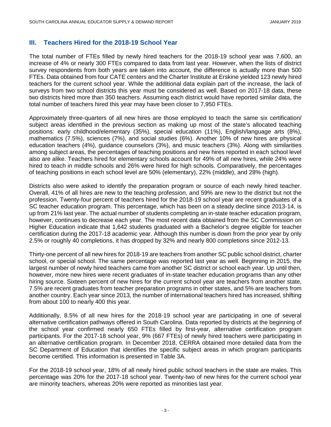#### **III. Teachers Hired for the 2018-19 School Year**

The total number of FTEs filled by newly hired teachers for the 2018-19 school year was 7,600, an increase of 4% or nearly 300 FTEs compared to data from last year. However, when the lists of district survey respondents from both years are taken into account, the difference is actually more than 500 FTEs. Data obtained from four CATE centers and the Charter Institute at Erskine yielded 123 newly hired teachers for the current school year. While the additional data explain part of the increase, the lack of surveys from two school districts this year must be considered as well. Based on 2017-18 data, these two districts hired more than 350 teachers. Assuming each district would have reported similar data, the total number of teachers hired this year may have been closer to 7,950 FTEs.

Approximately three-quarters of all new hires are those employed to teach the same six certification/ subject areas identified in the previous section as making up most of the state's allocated teaching positions: early childhood/elementary (35%), special education (11%), English/language arts (8%), mathematics (7.5%), sciences (7%), and social studies (6%). Another 10% of new hires are physical education teachers (4%), guidance counselors (3%), and music teachers (3%). Along with similarities among subject areas, the percentages of teaching positions and new hires reported in each school level also are alike. Teachers hired for elementary schools account for 49% of all new hires, while 24% were hired to teach in middle schools and 26% were hired for high schools. Comparatively, the percentages of teaching positions in each school level are 50% (elementary), 22% (middle), and 28% (high).

Districts also were asked to identify the preparation program or source of each newly hired teacher. Overall, 41% of all hires are new to the teaching profession, and 59% are new to the district but not the profession. Twenty-four percent of teachers hired for the 2018-19 school year are recent graduates of a SC teacher education program. This percentage, which has been on a steady decline since 2013-14, is up from 21% last year. The actual number of students completing an in-state teacher education program, however, continues to decrease each year. The most recent data obtained from the SC Commission on Higher Education indicate that 1,642 students graduated with a Bachelor's degree eligible for teacher certification during the 2017-18 academic year. Although this number is down from the prior year by only 2.5% or roughly 40 completions, it has dropped by 32% and nearly 800 completions since 2012-13.

Thirty-one percent of all new hires for 2018-19 are teachers from another SC public school district, charter school, or special school. The same percentage was reported last year as well. Beginning in 2015, the largest number of newly hired teachers came from another SC district or school each year. Up until then, however, more new hires were recent graduates of in-state teacher education programs than any other hiring source. Sixteen percent of new hires for the current school year are teachers from another state, 7.5% are recent graduates from teacher preparation programs in other states, and 5% are teachers from another country. Each year since 2013, the number of international teachers hired has increased, shifting from about 100 to nearly 400 this year.

Additionally, 8.5% of all new hires for the 2018-19 school year are participating in one of several alternative certification pathways offered in South Carolina. Data reported by districts at the beginning of the school year confirmed nearly 650 FTEs filled by first-year, alternative certification program participants. For the 2017-18 school year, 9% (667 FTEs) of newly hired teachers were participating in an alternative certification program. In December 2018, CERRA obtained more detailed data from the SC Department of Education that identifies the specific subject areas in which program participants become certified. This information is presented in Table 3A.

For the 2018-19 school year, 18% of all newly hired public school teachers in the state are males. This percentage was 20% for the 2017-18 school year. Twenty-two of new hires for the current school year are minority teachers, whereas 20% were reported as minorities last year.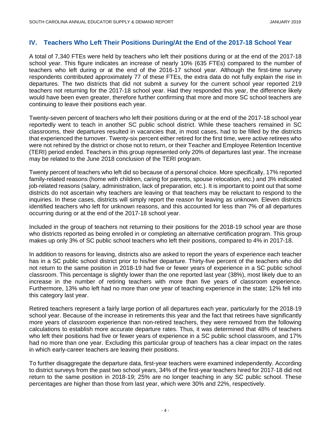#### **IV. Teachers Who Left Their Positions During/At the End of the 2017-18 School Year**

A total of 7,340 FTEs were held by teachers who left their positions during or at the end of the 2017-18 school year. This figure indicates an increase of nearly 10% (635 FTEs) compared to the number of teachers who left during or at the end of the 2016-17 school year. Although the first-time survey respondents contributed approximately 77 of these FTEs, the extra data do not fully explain the rise in departures. The two districts that did not submit a survey for the current school year reported 219 teachers not returning for the 2017-18 school year. Had they responded this year, the difference likely would have been even greater, therefore further confirming that more and more SC school teachers are continuing to leave their positions each year.

Twenty-seven percent of teachers who left their positions during or at the end of the 2017-18 school year reportedly went to teach in another SC public school district. While these teachers remained in SC classrooms, their departures resulted in vacancies that, in most cases, had to be filled by the districts that experienced the turnover. Twenty-six percent either retired for the first time, were active retirees who were not rehired by the district or chose not to return, or their Teacher and Employee Retention Incentive (TERI) period ended. Teachers in this group represented only 20% of departures last year. The increase may be related to the June 2018 conclusion of the TERI program.

Twenty percent of teachers who left did so because of a personal choice. More specifically, 17% reported family-related reasons (home with children, caring for parents, spouse relocation, etc.) and 3% indicated job-related reasons (salary, administration, lack of preparation, etc.). It is important to point out that some districts do not ascertain why teachers are leaving or that teachers may be reluctant to respond to the inquiries. In these cases, districts will simply report the reason for leaving as unknown. Eleven districts identified teachers who left for unknown reasons, and this accounted for less than 7% of all departures occurring during or at the end of the 2017-18 school year.

Included in the group of teachers not returning to their positions for the 2018-19 school year are those who districts reported as being enrolled in or completing an alternative certification program. This group makes up only 3% of SC public school teachers who left their positions, compared to 4% in 2017-18.

In addition to reasons for leaving, districts also are asked to report the years of experience each teacher has in a SC public school district prior to his/her departure. Thirty-five percent of the teachers who did not return to the same position in 2018-19 had five or fewer years of experience in a SC public school classroom. This percentage is slightly lower than the one reported last year (38%), most likely due to an increase in the number of retiring teachers with more than five years of classroom experience. Furthermore, 13% who left had no more than one year of teaching experience in the state; 12% fell into this category last year.

Retired teachers represent a fairly large portion of all departures each year, particularly for the 2018-19 school year. Because of the increase in retirements this year and the fact that retirees have significantly more years of classroom experience than non-retired teachers, they were removed from the following calculations to establish more accurate departure rates. Thus, it was determined that 48% of teachers who left their positions had five or fewer years of experience in a SC public school classroom, and 17% had no more than one year. Excluding this particular group of teachers has a clear impact on the rates in which early-career teachers are leaving their positions.

To further disaggregate the departure data, first-year teachers were examined independently. According to district surveys from the past two school years, 34% of the first-year teachers hired for 2017-18 did not return to the same position in 2018-19; 25% are no longer teaching in any SC public school. These percentages are higher than those from last year, which were 30% and 22%, respectively.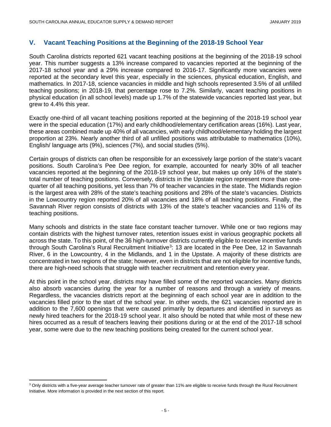#### **V. Vacant Teaching Positions at the Beginning of the 2018-19 School Year**

South Carolina districts reported 621 vacant teaching positions at the beginning of the 2018-19 school year. This number suggests a 13% increase compared to vacancies reported at the beginning of the 2017-18 school year and a 29% increase compared to 2016-17. Significantly more vacancies were reported at the secondary level this year, especially in the sciences, physical education, English, and mathematics. In 2017-18, science vacancies in middle and high schools represented 3.5% of all unfilled teaching positions; in 2018-19, that percentage rose to 7.2%. Similarly, vacant teaching positions in physical education (in all school levels) made up 1.7% of the statewide vacancies reported last year, but grew to 4.4% this year.

Exactly one-third of all vacant teaching positions reported at the beginning of the 2018-19 school year were in the special education (17%) and early childhood/elementary certification areas (16%). Last year, these areas combined made up 40% of all vacancies, with early childhood/elementary holding the largest proportion at 23%. Nearly another third of all unfilled positions was attributable to mathematics (10%), English/ language arts (9%), sciences (7%), and social studies (5%).

Certain groups of districts can often be responsible for an excessively large portion of the state's vacant positions. South Carolina's Pee Dee region, for example, accounted for nearly 30% of all teacher vacancies reported at the beginning of the 2018-19 school year, but makes up only 16% of the state's total number of teaching positions. Conversely, districts in the Upstate region represent more than onequarter of all teaching positions, yet less than 7% of teacher vacancies in the state. The Midlands region is the largest area with 28% of the state's teaching positions and 28% of the state's vacancies. Districts in the Lowcountry region reported 20% of all vacancies and 18% of all teaching positions. Finally, the Savannah River region consists of districts with 13% of the state's teacher vacancies and 11% of its teaching positions.

Many schools and districts in the state face constant teacher turnover. While one or two regions may contain districts with the highest turnover rates, retention issues exist in various geographic pockets all across the state. To this point, of the 36 high-turnover districts currently eligible to receive incentive funds through South Carolina's Rural Recruitment Initiative<sup>[3](#page-6-0)</sup>: 13 are located in the Pee Dee, 12 in Savannah River, 6 in the Lowcountry, 4 in the Midlands, and 1 in the Upstate. A majority of these districts are concentrated in two regions of the state; however, even in districts that are not eligible for incentive funds, there are high-need schools that struggle with teacher recruitment and retention every year.

At this point in the school year, districts may have filled some of the reported vacancies. Many districts also absorb vacancies during the year for a number of reasons and through a variety of means. Regardless, the vacancies districts report at the beginning of each school year are in addition to the vacancies filled prior to the start of the school year. In other words, the 621 vacancies reported are in addition to the 7,600 openings that were caused primarily by departures and identified in surveys as newly hired teachers for the 2018-19 school year. It also should be noted that while most of these new hires occurred as a result of teachers leaving their positions during or at the end of the 2017-18 school year, some were due to the new teaching positions being created for the current school year.

l

<span id="page-6-0"></span><sup>&</sup>lt;sup>3</sup> Only districts with a five-year average teacher turnover rate of greater than 11% are eligible to receive funds through the Rural Recruitment Initiative. More information is provided in the next section of this report.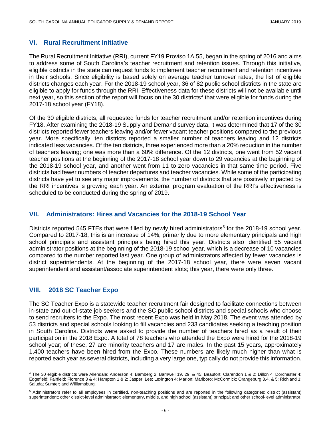#### **VI. Rural Recruitment Initiative**

The Rural Recruitment Initiative (RRI), current FY19 Proviso 1A.55, began in the spring of 2016 and aims to address some of South Carolina's teacher recruitment and retention issues. Through this initiative, eligible districts in the state can request funds to implement teacher recruitment and retention incentives in their schools. Since eligibility is based solely on average teacher turnover rates, the list of eligible districts changes each year. For the 2018-19 school year, 36 of 82 public school districts in the state are eligible to apply for funds through the RRI. Effectiveness data for these districts will not be available until next year, so this section of the report will focus on the 30 districts<sup>[4](#page-7-0)</sup> that were eligible for funds during the 2017-18 school year (FY18).

Of the 30 eligible districts, all requested funds for teacher recruitment and/or retention incentives during FY18. After examining the 2018-19 Supply and Demand survey data, it was determined that 17 of the 30 districts reported fewer teachers leaving and/or fewer vacant teacher positions compared to the previous year. More specifically, ten districts reported a smaller number of teachers leaving and 12 districts indicated less vacancies. Of the ten districts, three experienced more than a 20% reduction in the number of teachers leaving; one was more than a 60% difference. Of the 12 districts, one went from 52 vacant teacher positions at the beginning of the 2017-18 school year down to 29 vacancies at the beginning of the 2018-19 school year, and another went from 11 to zero vacancies in that same time period. Five districts had fewer numbers of teacher departures and teacher vacancies. While some of the participating districts have yet to see any major improvements, the number of districts that are positively impacted by the RRI incentives is growing each year. An external program evaluation of the RRI's effectiveness is scheduled to be conducted during the spring of 2019.

#### **VII. Administrators: Hires and Vacancies for the 2018-19 School Year**

Districts reported [5](#page-7-1)45 FTEs that were filled by newly hired administrators<sup>5</sup> for the 2018-19 school year. Compared to 2017-18, this is an increase of 14%, primarily due to more elementary principals and high school principals and assistant principals being hired this year. Districts also identified 55 vacant administrator positions at the beginning of the 2018-19 school year, which is a decrease of 10 vacancies compared to the number reported last year. One group of administrators affected by fewer vacancies is district superintendents. At the beginning of the 2017-18 school year, there were seven vacant superintendent and assistant/associate superintendent slots; this year, there were only three.

#### **VIII. 2018 SC Teacher Expo**

The SC Teacher Expo is a statewide teacher recruitment fair designed to facilitate connections between in-state and out-of-state job seekers and the SC public school districts and special schools who choose to send recruiters to the Expo. The most recent Expo was held in May 2018. The event was attended by 53 districts and special schools looking to fill vacancies and 233 candidates seeking a teaching position in South Carolina. Districts were asked to provide the number of teachers hired as a result of their participation in the 2018 Expo. A total of 78 teachers who attended the Expo were hired for the 2018-19 school year; of these, 27 are minority teachers and 17 are males. In the past 15 years, approximately 1,400 teachers have been hired from the Expo. These numbers are likely much higher than what is reported each year as several districts, including a very large one, typically do not provide this information.

<span id="page-7-0"></span> $\overline{\phantom{a}}$ <sup>4</sup> The 30 eligible districts were Allendale; Anderson 4; Bamberg 2; Barnwell 19, 29, & 45; Beaufort; Clarendon 1 & 2; Dillon 4; Dorchester 4; Edgefield; Fairfield; Florence 3 & 4; Hampton 1 & 2; Jasper; Lee; Lexington 4; Marion; Marlboro; McCormick; Orangeburg 3,4, & 5; Richland 1; Saluda; Sumter; and Williamsburg.

<span id="page-7-1"></span><sup>5</sup> Administrators refer to all employees in certified, non-teaching positions and are reported in the following categories: district (assistant) superintendent; other district-level administrator; elementary, middle, and high school (assistant) principal; and other school-level administrator.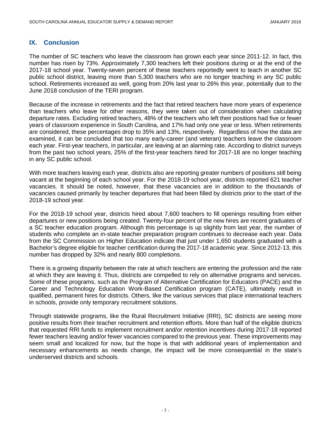#### **IX. Conclusion**

The number of SC teachers who leave the classroom has grown each year since 2011-12. In fact, this number has risen by 73%. Approximately 7,300 teachers left their positions during or at the end of the 2017-18 school year. Twenty-seven percent of these teachers reportedly went to teach in another SC public school district, leaving more than 5,300 teachers who are no longer teaching in any SC public school. Retirements increased as well, going from 20% last year to 26% this year, potentially due to the June 2018 conclusion of the TERI program.

Because of the increase in retirements and the fact that retired teachers have more years of experience than teachers who leave for other reasons, they were taken out of consideration when calculating departure rates. Excluding retired teachers, 48% of the teachers who left their positions had five or fewer years of classroom experience in South Carolina, and 17% had only one year or less. When retirements are considered, these percentages drop to 35% and 13%, respectively. Regardless of how the data are examined, it can be concluded that too many early-career (and veteran) teachers leave the classroom each year. First-year teachers, in particular, are leaving at an alarming rate. According to district surveys from the past two school years, 25% of the first-year teachers hired for 2017-18 are no longer teaching in any SC public school.

With more teachers leaving each year, districts also are reporting greater numbers of positions still being vacant at the beginning of each school year. For the 2018-19 school year, districts reported 621 teacher vacancies. It should be noted, however, that these vacancies are in addition to the thousands of vacancies caused primarily by teacher departures that had been filled by districts prior to the start of the 2018-19 school year.

For the 2018-19 school year, districts hired about 7,600 teachers to fill openings resulting from either departures or new positions being created. Twenty-four percent of the new hires are recent graduates of a SC teacher education program. Although this percentage is up slightly from last year, the number of students who complete an in-state teacher preparation program continues to decrease each year. Data from the SC Commission on Higher Education indicate that just under 1,650 students graduated with a Bachelor's degree eligible for teacher certification during the 2017-18 academic year. Since 2012-13, this number has dropped by 32% and nearly 800 completions.

There is a growing disparity between the rate at which teachers are entering the profession and the rate at which they are leaving it. Thus, districts are compelled to rely on alternative programs and services. Some of these programs, such as the Program of Alternative Certification for Educators (PACE) and the Career and Technology Education Work-Based Certification program (CATE), ultimately result in qualified, permanent hires for districts. Others, like the various services that place international teachers in schools, provide only temporary recruitment solutions.

Through statewide programs, like the Rural Recruitment Initiative (RRI), SC districts are seeing more positive results from their teacher recruitment and retention efforts. More than half of the eligible districts that requested RRI funds to implement recruitment and/or retention incentives during 2017-18 reported fewer teachers leaving and/or fewer vacancies compared to the previous year. These improvements may seem small and localized for now, but the hope is that with additional years of implementation and necessary enhancements as needs change, the impact will be more consequential in the state's underserved districts and schools.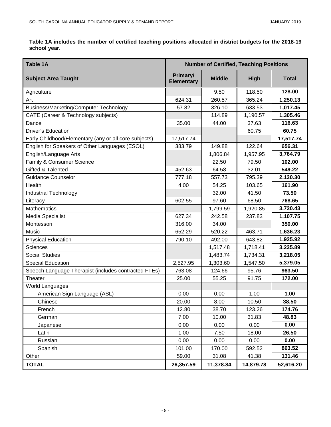**Table 1A includes the number of certified teaching positions allocated in district budgets for the 2018-19 school year.**

| <b>Table 1A</b>                                       | <b>Number of Certified, Teaching Positions</b> |               |             |              |  |
|-------------------------------------------------------|------------------------------------------------|---------------|-------------|--------------|--|
| <b>Subject Area Taught</b>                            | Primary/<br><b>Elementary</b>                  | <b>Middle</b> | <b>High</b> | <b>Total</b> |  |
| Agriculture                                           |                                                | 9.50          | 118.50      | 128.00       |  |
| Art                                                   | 624.31                                         | 260.57        | 365.24      | 1,250.13     |  |
| Business/Marketing/Computer Technology                | 57.82                                          | 326.10        | 633.53      | 1,017.45     |  |
| CATE (Career & Technology subjects)                   |                                                | 114.89        | 1,190.57    | 1,305.46     |  |
| Dance                                                 | 35.00                                          | 44.00         | 37.63       | 116.63       |  |
| <b>Driver's Education</b>                             |                                                |               | 60.75       | 60.75        |  |
| Early Childhood/Elementary (any or all core subjects) | 17,517.74                                      |               |             | 17,517.74    |  |
| English for Speakers of Other Languages (ESOL)        | 383.79                                         | 149.88        | 122.64      | 656.31       |  |
| English/Language Arts                                 |                                                | 1,806.84      | 1,957.95    | 3,764.79     |  |
| Family & Consumer Science                             |                                                | 22.50         | 79.50       | 102.00       |  |
| Gifted & Talented                                     | 452.63                                         | 64.58         | 32.01       | 549.22       |  |
| <b>Guidance Counselor</b>                             | 777.18                                         | 557.73        | 795.39      | 2,130.30     |  |
| Health                                                | 4.00                                           | 54.25         | 103.65      | 161.90       |  |
| Industrial Technology                                 |                                                | 32.00         | 41.50       | 73.50        |  |
| Literacy                                              | 602.55                                         | 97.60         | 68.50       | 768.65       |  |
| <b>Mathematics</b>                                    |                                                | 1,799.59      | 1,920.85    | 3,720.43     |  |
| <b>Media Specialist</b>                               | 627.34                                         | 242.58        | 237.83      | 1,107.75     |  |
| Montessori                                            | 316.00                                         | 34.00         |             | 350.00       |  |
| Music                                                 | 652.29                                         | 520.22        | 463.71      | 1,636.23     |  |
| <b>Physical Education</b>                             | 790.10                                         | 492.00        | 643.82      | 1,925.92     |  |
| <b>Sciences</b>                                       |                                                | 1,517.48      | 1,718.41    | 3,235.89     |  |
| <b>Social Studies</b>                                 |                                                | 1,483.74      | 1,734.31    | 3,218.05     |  |
| <b>Special Education</b>                              | 2,527.95                                       | 1,303.60      | 1,547.50    | 5,379.05     |  |
| Speech Language Therapist (includes contracted FTEs)  | 763.08                                         | 124.66        | 95.76       | 983.50       |  |
| Theater                                               | 25.00                                          | 55.25         | 91.75       | 172.00       |  |
| World Languages                                       |                                                |               |             |              |  |
| American Sign Language (ASL)                          | 0.00                                           | 0.00          | 1.00        | 1.00         |  |
| Chinese                                               | 20.00                                          | 8.00          | 10.50       | 38.50        |  |
| French                                                | 12.80                                          | 38.70         | 123.26      | 174.76       |  |
| German                                                | 7.00                                           | 10.00         | 31.83       | 48.83        |  |
| Japanese                                              | 0.00                                           | 0.00          | 0.00        | 0.00         |  |
| Latin                                                 | 1.00                                           | 7.50          | 18.00       | 26.50        |  |
| Russian                                               | 0.00                                           | 0.00          | 0.00        | 0.00         |  |
| Spanish                                               | 101.00                                         | 170.00        | 592.52      | 863.52       |  |
| Other                                                 | 59.00                                          | 31.08         | 41.38       | 131.46       |  |
| <b>TOTAL</b>                                          | 26,357.59                                      | 11,378.84     | 14,879.78   | 52,616.20    |  |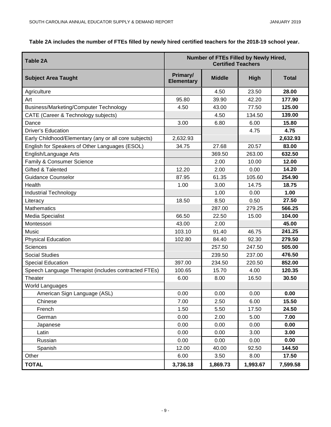#### **Table 2A includes the number of FTEs filled by newly hired certified teachers for the 2018-19 school year.**

| <b>Table 2A</b>                                       | Number of FTEs Filled by Newly Hired,<br><b>Certified Teachers</b> |               |             |              |  |
|-------------------------------------------------------|--------------------------------------------------------------------|---------------|-------------|--------------|--|
| <b>Subject Area Taught</b>                            | Primary/<br><b>Elementary</b>                                      | <b>Middle</b> | <b>High</b> | <b>Total</b> |  |
| Agriculture                                           |                                                                    | 4.50          | 23.50       | 28.00        |  |
| Art                                                   | 95.80                                                              | 39.90         | 42.20       | 177.90       |  |
| <b>Business/Marketing/Computer Technology</b>         | 4.50                                                               | 43.00         | 77.50       | 125.00       |  |
| CATE (Career & Technology subjects)                   |                                                                    | 4.50          | 134.50      | 139.00       |  |
| Dance                                                 | 3.00                                                               | 6.80          | 6.00        | 15.80        |  |
| <b>Driver's Education</b>                             |                                                                    |               | 4.75        | 4.75         |  |
| Early Childhood/Elementary (any or all core subjects) | 2,632.93                                                           |               |             | 2,632.93     |  |
| English for Speakers of Other Languages (ESOL)        | 34.75                                                              | 27.68         | 20.57       | 83.00        |  |
| English/Language Arts                                 |                                                                    | 369.50        | 263.00      | 632.50       |  |
| Family & Consumer Science                             |                                                                    | 2.00          | 10.00       | 12.00        |  |
| Gifted & Talented                                     | 12.20                                                              | 2.00          | 0.00        | 14.20        |  |
| <b>Guidance Counselor</b>                             | 87.95                                                              | 61.35         | 105.60      | 254.90       |  |
| Health                                                | 1.00                                                               | 3.00          | 14.75       | 18.75        |  |
| <b>Industrial Technology</b>                          |                                                                    | 1.00          | 0.00        | 1.00         |  |
| Literacy                                              | 18.50                                                              | 8.50          | 0.50        | 27.50        |  |
| <b>Mathematics</b>                                    |                                                                    | 287.00        | 279.25      | 566.25       |  |
| Media Specialist                                      | 66.50                                                              | 22.50         | 15.00       | 104.00       |  |
| Montessori                                            | 43.00                                                              | 2.00          |             | 45.00        |  |
| Music                                                 | 103.10                                                             | 91.40         | 46.75       | 241.25       |  |
| <b>Physical Education</b>                             | 102.80                                                             | 84.40         | 92.30       | 279.50       |  |
| <b>Sciences</b>                                       |                                                                    | 257.50        | 247.50      | 505.00       |  |
| <b>Social Studies</b>                                 |                                                                    | 239.50        | 237.00      | 476.50       |  |
| <b>Special Education</b>                              | 397.00                                                             | 234.50        | 220.50      | 852.00       |  |
| Speech Language Therapist (includes contracted FTEs)  | 100.65                                                             | 15.70         | 4.00        | 120.35       |  |
| Theater                                               | 6.00                                                               | 8.00          | 16.50       | 30.50        |  |
| World Languages                                       |                                                                    |               |             |              |  |
| American Sign Language (ASL)                          | 0.00                                                               | 0.00          | 0.00        | 0.00         |  |
| Chinese                                               | 7.00                                                               | 2.50          | 6.00        | 15.50        |  |
| French                                                | 1.50                                                               | 5.50          | 17.50       | 24.50        |  |
| German                                                | 0.00                                                               | 2.00          | 5.00        | 7.00         |  |
| Japanese                                              | 0.00                                                               | 0.00          | 0.00        | 0.00         |  |
| Latin                                                 | 0.00                                                               | 0.00          | 3.00        | 3.00         |  |
| Russian                                               | 0.00                                                               | 0.00          | 0.00        | 0.00         |  |
| Spanish                                               | 12.00                                                              | 40.00         | 92.50       | 144.50       |  |
| Other                                                 | 6.00                                                               | 3.50          | 8.00        | 17.50        |  |
| <b>TOTAL</b>                                          | 3,736.18                                                           | 1,869.73      | 1,993.67    | 7,599.58     |  |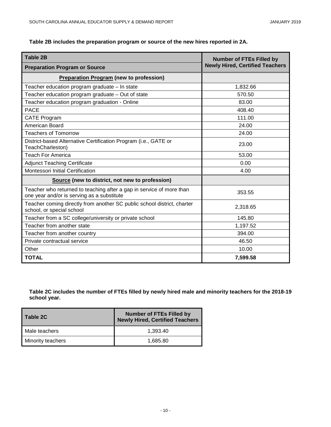| <b>Table 2B</b>                                                                                                    | <b>Number of FTEs Filled by</b>        |
|--------------------------------------------------------------------------------------------------------------------|----------------------------------------|
| <b>Preparation Program or Source</b>                                                                               | <b>Newly Hired, Certified Teachers</b> |
| <b>Preparation Program (new to profession)</b>                                                                     |                                        |
| Teacher education program graduate - In state                                                                      | 1,832.66                               |
| Teacher education program graduate - Out of state                                                                  | 570.50                                 |
| Teacher education program graduation - Online                                                                      | 83.00                                  |
| <b>PACE</b>                                                                                                        | 408.40                                 |
| <b>CATE Program</b>                                                                                                | 111.00                                 |
| American Board                                                                                                     | 24.00                                  |
| <b>Teachers of Tomorrow</b>                                                                                        | 24.00                                  |
| District-based Alternative Certification Program (i.e., GATE or<br>TeachCharleston)                                | 23.00                                  |
| <b>Teach For America</b>                                                                                           | 53.00                                  |
| <b>Adjunct Teaching Certificate</b>                                                                                | 0.00                                   |
| Montessori Initial Certification                                                                                   | 4.00                                   |
| Source (new to district, not new to profession)                                                                    |                                        |
| Teacher who returned to teaching after a gap in service of more than<br>one year and/or is serving as a substitute | 353.55                                 |
| Teacher coming directly from another SC public school district, charter<br>school, or special school               | 2,318.65                               |
| Teacher from a SC college/university or private school                                                             | 145.80                                 |
| Teacher from another state                                                                                         | 1,197.52                               |
| Teacher from another country                                                                                       | 394.00                                 |
| Private contractual service                                                                                        | 46.50                                  |
| Other                                                                                                              | 10.00                                  |
| <b>TOTAL</b>                                                                                                       | 7,599.58                               |

**Table 2C includes the number of FTEs filled by newly hired male and minority teachers for the 2018-19 school year.**

| Table 2C                 | <b>Number of FTEs Filled by</b><br><b>Newly Hired, Certified Teachers</b> |
|--------------------------|---------------------------------------------------------------------------|
| l Male teachers          | 1.393.40                                                                  |
| <b>Minority teachers</b> | 1.685.80                                                                  |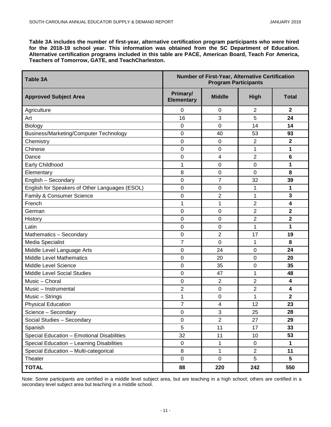**Table 3A includes the number of first-year, alternative certification program participants who were hired for the 2018-19 school year. This information was obtained from the SC Department of Education. Alternative certification programs included in this table are PACE, American Board, Teach For America, Teachers of Tomorrow, GATE, and TeachCharleston.**

| <b>Table 3A</b>                                | Number of First-Year, Alternative Certification<br><b>Program Participants</b> |                |                |                         |  |
|------------------------------------------------|--------------------------------------------------------------------------------|----------------|----------------|-------------------------|--|
| <b>Approved Subject Area</b>                   | Primary/<br><b>Elementary</b>                                                  | <b>Middle</b>  | <b>High</b>    | <b>Total</b>            |  |
| Agriculture                                    | 0                                                                              | 0              | 2              | $\mathbf{2}$            |  |
| Art                                            | 16                                                                             | 3              | 5              | 24                      |  |
| Biology                                        | $\mathbf 0$                                                                    | 0              | 14             | 14                      |  |
| Business/Marketing/Computer Technology         | $\mathbf 0$                                                                    | 40             | 53             | 93                      |  |
| Chemistry                                      | 0                                                                              | 0              | $\overline{2}$ | $\mathbf{2}$            |  |
| Chinese                                        | 0                                                                              | 0              | 1              | 1                       |  |
| Dance                                          | 0                                                                              | 4              | 2              | 6                       |  |
| Early Childhood                                | 1                                                                              | 0              | $\mathbf 0$    | 1                       |  |
| Elementary                                     | 8                                                                              | 0              | $\mathbf 0$    | 8                       |  |
| English - Secondary                            | 0                                                                              | 7              | 32             | 39                      |  |
| English for Speakers of Other Languages (ESOL) | 0                                                                              | 0              | 1              | 1                       |  |
| Family & Consumer Science                      | 0                                                                              | $\overline{2}$ | 1              | 3                       |  |
| French                                         | 1                                                                              | 1              | $\overline{2}$ | 4                       |  |
| German                                         | $\mathbf 0$                                                                    | $\mathbf 0$    | $\overline{2}$ | $\mathbf 2$             |  |
| History                                        | 0                                                                              | 0              | $\overline{2}$ | $\overline{2}$          |  |
| Latin                                          | 0                                                                              | 0              | 1              | 1                       |  |
| Mathematics - Secondary                        | 0                                                                              | $\overline{2}$ | 17             | 19                      |  |
| Media Specialist                               | $\overline{7}$                                                                 | 0              | 1              | 8                       |  |
| Middle Level Language Arts                     | $\mathbf 0$                                                                    | 24             | $\mathbf 0$    | 24                      |  |
| <b>Middle Level Mathematics</b>                | 0                                                                              | 20             | $\mathbf 0$    | 20                      |  |
| Middle Level Science                           | 0                                                                              | 35             | 0              | 35                      |  |
| Middle Level Social Studies                    | 0                                                                              | 47             | 1              | 48                      |  |
| Music - Choral                                 | $\mathbf 0$                                                                    | $\overline{2}$ | $\overline{2}$ | $\overline{\mathbf{4}}$ |  |
| Music - Instrumental                           | $\overline{2}$                                                                 | $\mathbf 0$    | $\overline{2}$ | 4                       |  |
| Music - Strings                                | 1                                                                              | 0              | 1              | $\overline{\mathbf{2}}$ |  |
| <b>Physical Education</b>                      | 7                                                                              | 4              | 12             | 23                      |  |
| Science - Secondary                            | 0                                                                              | C<br>J.        | 25             | 28                      |  |
| Social Studies - Secondary                     | $\pmb{0}$                                                                      | $\overline{c}$ | 27             | 29                      |  |
| Spanish                                        | 5                                                                              | 11             | 17             | 33                      |  |
| Special Education - Emotional Disabilities     | 32                                                                             | 11             | 10             | 53                      |  |
| Special Education - Learning Disabilities      | $\mathbf 0$                                                                    | 1              | $\mathbf 0$    | 1                       |  |
| Special Education - Multi-categorical          | 8                                                                              | 1              | $\overline{2}$ | 11                      |  |
| Theater                                        | $\mathbf 0$                                                                    | $\mathsf 0$    | 5              | $5\phantom{.0}$         |  |
| <b>TOTAL</b>                                   | 88                                                                             | 220            | 242            | 550                     |  |

Note: Some participants are certified in a middle level subject area, but are teaching in a high school; others are certified in a secondary level subject area but teaching in a middle school.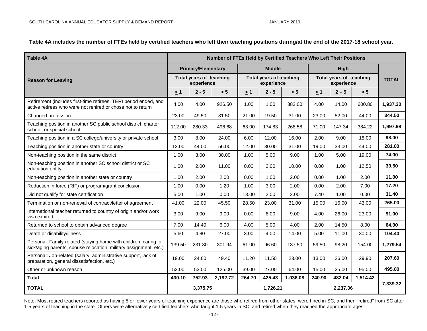**Table 4A includes the number of FTEs held by certified teachers who left their teaching positions during/at the end of the 2017-18 school year.**

| <b>Table 4A</b>                                                                                                                       | Number of FTEs Held by Certified Teachers Who Left Their Positions |                                       |          |                                              |               |                                       |          |              |          |          |
|---------------------------------------------------------------------------------------------------------------------------------------|--------------------------------------------------------------------|---------------------------------------|----------|----------------------------------------------|---------------|---------------------------------------|----------|--------------|----------|----------|
| <b>Reason for Leaving</b>                                                                                                             |                                                                    | <b>Primary/Elementary</b>             |          |                                              | <b>Middle</b> |                                       |          | High         |          |          |
|                                                                                                                                       |                                                                    | Total years of teaching<br>experience |          | <b>Total years of teaching</b><br>experience |               | Total years of teaching<br>experience |          | <b>TOTAL</b> |          |          |
|                                                                                                                                       | $\leq 1$                                                           | $2 - 5$                               | > 5      | $\leq$ 1                                     | $2 - 5$       | > 5                                   | $\leq 1$ | $2 - 5$      | > 5      |          |
| Retirement (includes first-time retirees, TERI period ended, and<br>active retirees who were not rehired or chose not to return       | 4.00                                                               | 4.00                                  | 926.50   | 1.00                                         | 1.00          | 382.00                                | 4.00     | 14.00        | 600.80   | 1,937.30 |
| Changed profession                                                                                                                    | 23.00                                                              | 49.50                                 | 81.50    | 21.00                                        | 19.50         | 31.00                                 | 23.00    | 52.00        | 44.00    | 344.50   |
| Teaching position in another SC public school district, charter<br>school, or special school                                          | 112.00                                                             | 280.33                                | 496.68   | 63.00                                        | 174.83        | 268.58                                | 71.00    | 147.34       | 384.22   | 1,997.98 |
| Teaching position in a SC college/university or private school                                                                        | 3.00                                                               | 8.00                                  | 24.00    | 6.00                                         | 12.00         | 16.00                                 | 2.00     | 9.00         | 18.00    | 98.00    |
| Teaching position in another state or country                                                                                         | 12.00                                                              | 44.00                                 | 56.00    | 12.00                                        | 30.00         | 31.00                                 | 19.00    | 33.00        | 44.00    | 281.00   |
| Non-teaching position in the same district                                                                                            | 1.00                                                               | 3.00                                  | 30.00    | 1.00                                         | 5.00          | 9.00                                  | 1.00     | 5.00         | 19.00    | 74.00    |
| Non-teaching position in another SC school district or SC<br>education entity                                                         | 1.00                                                               | 2.00                                  | 11.00    | 0.00                                         | 2.00          | 10.00                                 | 0.00     | 1.00         | 12.50    | 39.50    |
| Non-teaching position in another state or country                                                                                     | 1.00                                                               | 2.00                                  | 2.00     | 0.00                                         | 1.00          | 2.00                                  | 0.00     | 1.00         | 2.00     | 11.00    |
| Reduction in force (RIF) or program/grant conclusion                                                                                  | 1.00                                                               | 0.00                                  | 1.20     | 1.00                                         | 3.00          | 2.00                                  | 0.00     | 2.00         | 7.00     | 17.20    |
| Did not qualify for state certification                                                                                               | 5.00                                                               | 1.00                                  | 0.00     | 13.00                                        | 2.00          | 2.00                                  | 7.40     | 1.00         | 0.00     | 31.40    |
| Termination or non-renewal of contract/letter of agreement                                                                            | 41.00                                                              | 22.00                                 | 45.50    | 28.50                                        | 23.00         | 31.00                                 | 15.00    | 16.00        | 43.00    | 265.00   |
| International teacher returned to country of origin and/or work<br>visa expired                                                       | 3.00                                                               | 9.00                                  | 9.00     | 0.00                                         | 8.00          | 9.00                                  | 4.00     | 26.00        | 23.00    | 91.00    |
| Returned to school to obtain advanced degree                                                                                          | 7.00                                                               | 14.40                                 | 6.00     | 4.00                                         | 5.00          | 4.00                                  | 2.00     | 14.50        | 8.00     | 64.90    |
| Death or disability/illness                                                                                                           | 5.60                                                               | 4.80                                  | 27.00    | 3.00                                         | 4.00          | 14.00                                 | 5.00     | 11.00        | 30.00    | 104.40   |
| Personal: Family-related (staying home with children, caring for<br>sick/aging parents, spouse relocation, military assignment, etc.) | 139.50                                                             | 231.30                                | 301.94   | 61.00                                        | 96.60         | 137.50                                | 59.50    | 98.20        | 154.00   | 1,279.54 |
| Personal: Job-related (salary, administrative support, lack of<br>preparation, general dissatisfaction, etc.)                         | 19.00                                                              | 24.60                                 | 49.40    | 11.20                                        | 11.50         | 23.00                                 | 13.00    | 26.00        | 29.90    | 207.60   |
| Other or unknown reason                                                                                                               | 52.00                                                              | 53.00                                 | 125.00   | 39.00                                        | 27.00         | 64.00                                 | 15.00    | 25.00        | 95.00    | 495.00   |
| <b>Total</b>                                                                                                                          | 430.10                                                             | 752.93                                | 2,192.72 | 264.70                                       | 425.43        | 1,036.08                              | 240.90   | 482.04       | 1,514.42 |          |
| <b>TOTAL</b>                                                                                                                          | 3,375.75                                                           |                                       | 1,726.21 |                                              |               |                                       | 2,237.36 |              | 7,339.32 |          |

Note: Most retired teachers reported as having 5 or fewer years of teaching experience are those who retired from other states, were hired in SC, and then "retired" from SC after 1-5 years of teaching in the state. Others were alternatively certified teachers who taught 1-5 years in SC, and retired when they reached the appropriate ages.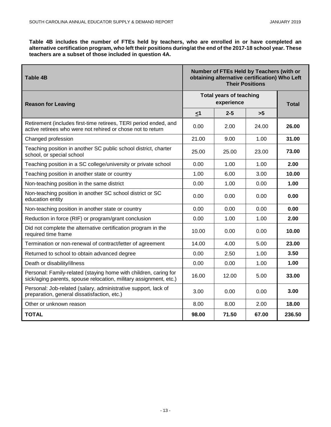**Table 4B includes the number of FTEs held by teachers, who are enrolled in or have completed an alternative certification program, who left their positions during/at the end of the 2017-18 school year. These teachers are a subset of those included in question 4A.**

| <b>Table 4B</b>                                                                                                                       | Number of FTEs Held by Teachers (with or<br>obtaining alternative certification) Who Left<br><b>Their Positions</b> |              |       |        |
|---------------------------------------------------------------------------------------------------------------------------------------|---------------------------------------------------------------------------------------------------------------------|--------------|-------|--------|
| <b>Reason for Leaving</b>                                                                                                             | <b>Total years of teaching</b>                                                                                      | <b>Total</b> |       |        |
|                                                                                                                                       | $\leq 1$                                                                                                            | $2 - 5$      | >5    |        |
| Retirement (includes first-time retirees, TERI period ended, and<br>active retirees who were not rehired or chose not to return       | 0.00                                                                                                                | 2.00         | 24.00 | 26.00  |
| Changed profession                                                                                                                    | 21.00                                                                                                               | 9.00         | 1.00  | 31.00  |
| Teaching position in another SC public school district, charter<br>school, or special school                                          | 25.00                                                                                                               | 25.00        | 23.00 | 73.00  |
| Teaching position in a SC college/university or private school                                                                        | 0.00                                                                                                                | 1.00         | 1.00  | 2.00   |
| Teaching position in another state or country                                                                                         | 1.00                                                                                                                | 6.00         | 3.00  | 10.00  |
| Non-teaching position in the same district                                                                                            | 0.00                                                                                                                | 1.00         | 0.00  | 1.00   |
| Non-teaching position in another SC school district or SC<br>education entity                                                         | 0.00                                                                                                                | 0.00         | 0.00  | 0.00   |
| Non-teaching position in another state or country                                                                                     | 0.00                                                                                                                | 0.00         | 0.00  | 0.00   |
| Reduction in force (RIF) or program/grant conclusion                                                                                  | 0.00                                                                                                                | 1.00         | 1.00  | 2.00   |
| Did not complete the alternative certification program in the<br>required time frame                                                  | 10.00                                                                                                               | 0.00         | 0.00  | 10.00  |
| Termination or non-renewal of contract/letter of agreement                                                                            | 14.00                                                                                                               | 4.00         | 5.00  | 23.00  |
| Returned to school to obtain advanced degree                                                                                          | 0.00                                                                                                                | 2.50         | 1.00  | 3.50   |
| Death or disability/illness                                                                                                           | 0.00                                                                                                                | 0.00         | 1.00  | 1.00   |
| Personal: Family-related (staying home with children, caring for<br>sick/aging parents, spouse relocation, military assignment, etc.) | 16.00                                                                                                               | 12.00        | 5.00  | 33.00  |
| Personal: Job-related (salary, administrative support, lack of<br>preparation, general dissatisfaction, etc.)                         | 3.00                                                                                                                | 0.00         | 0.00  | 3.00   |
| Other or unknown reason                                                                                                               | 8.00                                                                                                                | 8.00         | 2.00  | 18.00  |
| <b>TOTAL</b>                                                                                                                          | 98.00                                                                                                               | 71.50        | 67.00 | 236.50 |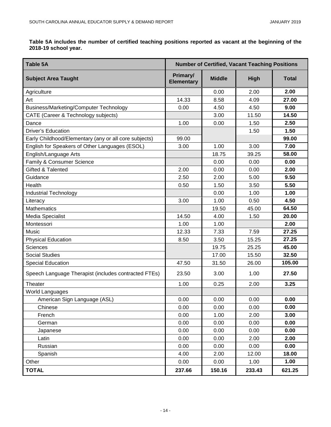**Table 5A includes the number of certified teaching positions reported as vacant at the beginning of the 2018-19 school year.** 

| <b>Table 5A</b>                                       | <b>Number of Certified, Vacant Teaching Positions</b> |               |             |              |  |
|-------------------------------------------------------|-------------------------------------------------------|---------------|-------------|--------------|--|
| <b>Subject Area Taught</b>                            | Primary/<br><b>Elementary</b>                         | <b>Middle</b> | <b>High</b> | <b>Total</b> |  |
| Agriculture                                           |                                                       | 0.00          | 2.00        | 2.00         |  |
| Art                                                   | 14.33                                                 | 8.58          | 4.09        | 27.00        |  |
| Business/Marketing/Computer Technology                | 0.00                                                  | 4.50          | 4.50        | 9.00         |  |
| CATE (Career & Technology subjects)                   |                                                       | 3.00          | 11.50       | 14.50        |  |
| Dance                                                 | 1.00                                                  | 0.00          | 1.50        | 2.50         |  |
| <b>Driver's Education</b>                             |                                                       |               | 1.50        | 1.50         |  |
| Early Childhood/Elementary (any or all core subjects) | 99.00                                                 |               |             | 99.00        |  |
| English for Speakers of Other Languages (ESOL)        | 3.00                                                  | 1.00          | 3.00        | 7.00         |  |
| English/Language Arts                                 |                                                       | 18.75         | 39.25       | 58.00        |  |
| Family & Consumer Science                             |                                                       | 0.00          | 0.00        | 0.00         |  |
| Gifted & Talented                                     | 2.00                                                  | 0.00          | 0.00        | 2.00         |  |
| Guidance                                              | 2.50                                                  | 2.00          | 5.00        | 9.50         |  |
| Health                                                | 0.50                                                  | 1.50          | 3.50        | 5.50         |  |
| <b>Industrial Technology</b>                          |                                                       | 0.00          | 1.00        | 1.00         |  |
| Literacy                                              | 3.00                                                  | 1.00          | 0.50        | 4.50         |  |
| Mathematics                                           |                                                       | 19.50         | 45.00       | 64.50        |  |
| Media Specialist                                      | 14.50                                                 | 4.00          | 1.50        | 20.00        |  |
| Montessori                                            | 1.00                                                  | 1.00          |             | 2.00         |  |
| Music                                                 | 12.33                                                 | 7.33          | 7.59        | 27.25        |  |
| <b>Physical Education</b>                             | 8.50                                                  | 3.50          | 15.25       | 27.25        |  |
| <b>Sciences</b>                                       |                                                       | 19.75         | 25.25       | 45.00        |  |
| <b>Social Studies</b>                                 |                                                       | 17.00         | 15.50       | 32.50        |  |
| Special Education                                     | 47.50                                                 | 31.50         | 26.00       | 105.00       |  |
| Speech Language Therapist (includes contracted FTEs)  | 23.50                                                 | 3.00          | 1.00        | 27.50        |  |
| Theater                                               | 1.00                                                  | 0.25          | 2.00        | 3.25         |  |
| <b>World Languages</b>                                |                                                       |               |             |              |  |
| American Sign Language (ASL)                          | 0.00                                                  | 0.00          | 0.00        | 0.00         |  |
| Chinese                                               | 0.00                                                  | 0.00          | 0.00        | 0.00         |  |
| French                                                | 0.00                                                  | 1.00          | 2.00        | 3.00         |  |
| German                                                | 0.00                                                  | 0.00          | 0.00        | 0.00         |  |
| Japanese                                              | 0.00                                                  | 0.00          | 0.00        | 0.00         |  |
| Latin                                                 | 0.00                                                  | 0.00          | 2.00        | 2.00         |  |
| Russian                                               | 0.00                                                  | 0.00          | 0.00        | 0.00         |  |
| Spanish                                               | 4.00                                                  | 2.00          | 12.00       | 18.00        |  |
| Other                                                 | 0.00                                                  | 0.00          | 1.00        | 1.00         |  |
| <b>TOTAL</b>                                          | 237.66                                                | 150.16        | 233.43      | 621.25       |  |